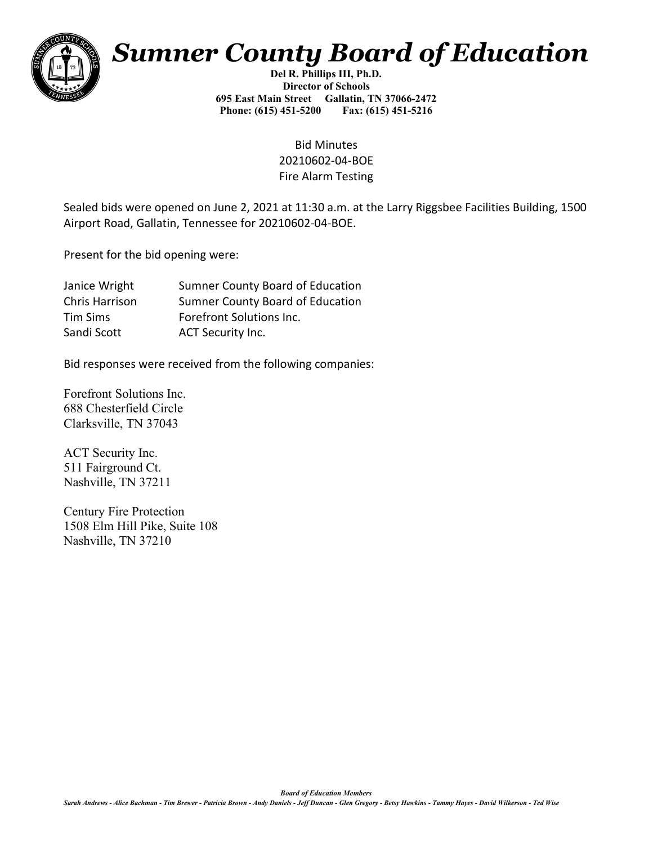

## *Sumner County Board of Education*

**Del R. Phillips III, Ph.D. Director of Schools 695 East Main Street Gallatin, TN 37066-2472 Phone: (615) 451-5200 Fax: (615) 451-5216** 

> Bid Minutes 20210602-04-BOE Fire Alarm Testing

Sealed bids were opened on June 2, 2021 at 11:30 a.m. at the Larry Riggsbee Facilities Building, 1500 Airport Road, Gallatin, Tennessee for 20210602-04-BOE.

Present for the bid opening were:

| Janice Wright  | <b>Sumner County Board of Education</b> |
|----------------|-----------------------------------------|
| Chris Harrison | <b>Sumner County Board of Education</b> |
| Tim Sims       | Forefront Solutions Inc.                |
| Sandi Scott    | <b>ACT Security Inc.</b>                |

Bid responses were received from the following companies:

Forefront Solutions Inc. 688 Chesterfield Circle Clarksville, TN 37043

ACT Security Inc. 511 Fairground Ct. Nashville, TN 37211

Century Fire Protection 1508 Elm Hill Pike, Suite 108 Nashville, TN 37210